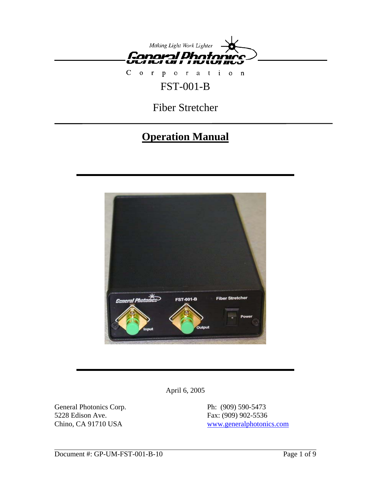

Corporation FST-001-B

Fiber Stretcher

# **Operation Manual**



April 6, 2005

General Photonics Corp. Ph: (909) 590-5473 5228 Edison Ave. Fax: (909) 902-5536

Chino, CA 91710 USA www.generalphotonics.com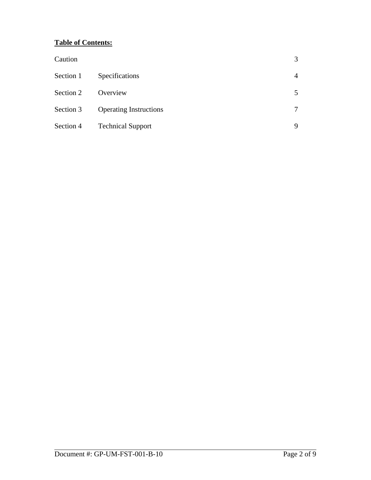## **Table of Contents:**

| Caution   |                               | 3      |
|-----------|-------------------------------|--------|
| Section 1 | Specifications                | 4      |
| Section 2 | Overview                      | 5      |
| Section 3 | <b>Operating Instructions</b> | $\tau$ |
| Section 4 | <b>Technical Support</b>      | 9      |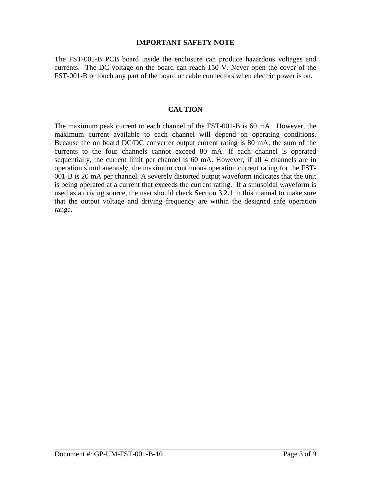#### **IMPORTANT SAFETY NOTE**

The FST-001-B PCB board inside the enclosure can produce hazardous voltages and currents. The DC voltage on the board can reach 150 V. Never open the cover of the FST-001-B or touch any part of the board or cable connectors when electric power is on.

#### **CAUTION**

The maximum peak current to each channel of the FST-001-B is 60 mA. However, the maximum current available to each channel will depend on operating conditions. Because the on board DC/DC converter output current rating is 80 mA, the sum of the currents to the four channels cannot exceed 80 mA. If each channel is operated sequentially, the current limit per channel is 60 mA. However, if all 4 channels are in operation simultaneously, the maximum continuous operation current rating for the FST-001-B is 20 mA per channel. A severely distorted output waveform indicates that the unit is being operated at a current that exceeds the current rating. If a sinusoidal waveform is used as a driving source, the user should check Section 3.2.1 in this manual to make sure that the output voltage and driving frequency are within the designed safe operation range.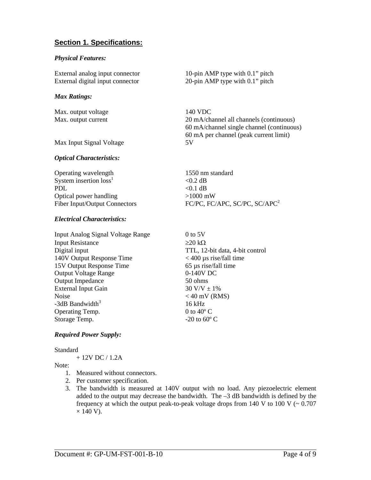## **Section 1. Specifications:**

#### *Physical Features:*

External analog input connector 10-pin AMP type with 0.1" pitch External digital input connector 20-pin AMP type with 0.1" pitch

#### *Max Ratings:*

Max. output current 20 mA/channel all channels (continuous)

Max. output voltage 140 VDC

Max Input Signal Voltage 5V

#### *Optical Characteristics:*

Operating wavelength 1550 nm standard System insertion  $loss<sup>1</sup>$  $<$ 0.2 dB PDL  $< 0.1$  dB Optical power handling >1000 mW Fiber Input/Output Connectors FC/PC, FC/APC, SC/PC, SC/APC<sup>2</sup>

#### *Electrical Characteristics:*

Input Analog Signal Voltage Range 0 to 5V Input Resistance  $\geq 20 \text{ k}\Omega$ Digital input TTL, 12-bit data, 4-bit control 140V Output Response Time < 400 µs rise/fall time 15V Output Response Time 65 µs rise/fall time Output Voltage Range 0-140V DC Output Impedance 50 ohms External Input Gain  $30 \text{ V/V} \pm 1\%$ Noise  $<$  40 mV (RMS)  $-3dB$  Bandwidth $3$ Operating Temp. 0 to 40<sup>°</sup> C Storage Temp.  $-20$  to  $60^{\circ}$  C

16 kHz

60 mA/channel single channel (continuous) 60 mA per channel (peak current limit)

#### *Required Power Supply:*

**Standard** 

+ 12V DC / 1.2A

Note<sup>.</sup>

- 1. Measured without connectors.
- 2. Per customer specification.
- 3. The bandwidth is measured at 140V output with no load. Any piezoelectric element added to the output may decrease the bandwidth. The –3 dB bandwidth is defined by the frequency at which the output peak-to-peak voltage drops from  $140 \text{ V}$  to  $100 \text{ V}$  ( $\sim 0.707$ )  $\times$  140 V).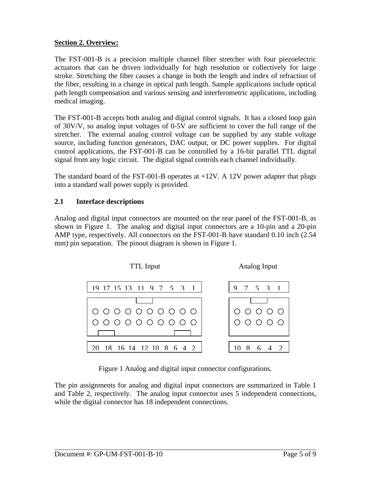## **Section 2. Overview:**

The FST-001-B is a precision multiple channel fiber stretcher with four piezoelectric actuators that can be driven individually for high resolution or collectively for large stroke. Stretching the fiber causes a change in both the length and index of refraction of the fiber, resulting in a change in optical path length. Sample applications include optical path length compensation and various sensing and interferometric applications, including medical imaging.

The FST-001-B accepts both analog and digital control signals. It has a closed loop gain of 30V/V, so analog input voltages of 0-5V are sufficient to cover the full range of the stretcher. The external analog control voltage can be supplied by any stable voltage source, including function generators, DAC output, or DC power supplies. For digital control applications, the FST-001-B can be controlled by a 16-bit parallel TTL digital signal from any logic circuit. The digital signal controls each channel individually.

The standard board of the FST-001-B operates at  $+12V$ . A 12V power adapter that plugs into a standard wall power supply is provided.

## **2.1 Interface descriptions**

Analog and digital input connectors are mounted on the rear panel of the FST-001-B, as shown in Figure 1. The analog and digital input connectors are a 10-pin and a 20-pin AMP type, respectively. All connectors on the FST-001-B have standard 0.10 inch (2.54 mm) pin separation. The pinout diagram is shown in Figure 1.



Figure 1 Analog and digital input connector configurations.

The pin assignments for analog and digital input connectors are summarized in Table 1 and Table 2, respectively. The analog input connector uses 5 independent connections, while the digital connector has 18 independent connections.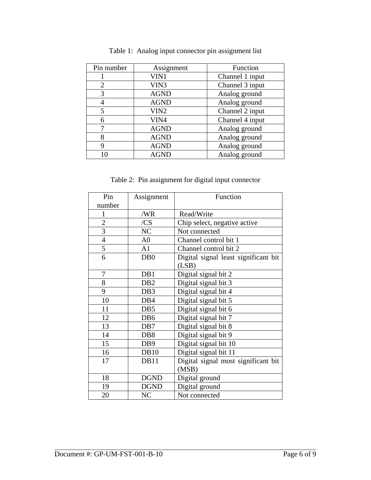| Pin number     | Assignment       | Function        |
|----------------|------------------|-----------------|
|                | VIN1             | Channel 1 input |
| $\overline{2}$ | VIN3             | Channel 3 input |
| 3              | <b>AGND</b>      | Analog ground   |
| 4              | <b>AGND</b>      | Analog ground   |
| 5              | VIN <sub>2</sub> | Channel 2 input |
| 6              | VIN4             | Channel 4 input |
|                | <b>AGND</b>      | Analog ground   |
| 8              | <b>AGND</b>      | Analog ground   |
| 9              | <b>AGND</b>      | Analog ground   |
|                | <b>AGND</b>      | Analog ground   |

Table 1: Analog input connector pin assignment list

Table 2: Pin assignment for digital input connector

| Pin            | Assignment       | Function                             |  |
|----------------|------------------|--------------------------------------|--|
| number         |                  |                                      |  |
| 1              | /WR              | Read/Write                           |  |
| $\overline{2}$ | /CS              | Chip select, negative active         |  |
| $\overline{3}$ | NC               | Not connected                        |  |
| $\overline{4}$ | A <sub>0</sub>   | Channel control bit 1                |  |
| 5              | A1               | Channel control bit 2                |  |
| 6              | D <sub>B</sub> 0 | Digital signal least significant bit |  |
|                |                  | (LSB)                                |  |
| 7              | DB1              | Digital signal bit 2                 |  |
| 8              | DB <sub>2</sub>  | Digital signal bit 3                 |  |
| 9              | DB <sub>3</sub>  | Digital signal bit 4                 |  |
| 10             | DB4              | Digital signal bit 5                 |  |
| 11             | DB5              | Digital signal bit 6                 |  |
| 12             | D <sub>B6</sub>  | Digital signal bit 7                 |  |
| 13             | DB7              | Digital signal bit 8                 |  |
| 14             | D <sub>B</sub> 8 | Digital signal bit 9                 |  |
| 15             | DB <sub>9</sub>  | Digital signal bit 10                |  |
| 16             | <b>DB10</b>      | Digital signal bit 11                |  |
| 17             | DB11             | Digital signal most significant bit  |  |
|                |                  | (MSB)                                |  |
| 18             | <b>DGND</b>      | Digital ground                       |  |
| 19             | <b>DGND</b>      | Digital ground                       |  |
| 20             | NC               | Not connected                        |  |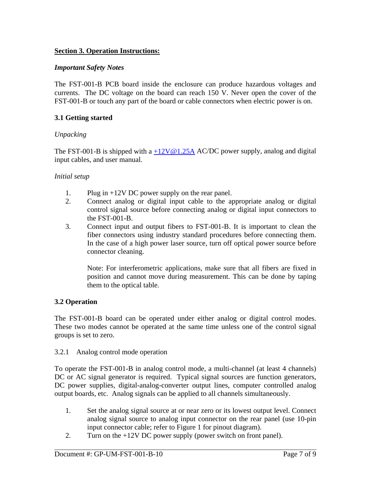## **Section 3. Operation Instructions:**

## *Important Safety Notes*

The FST-001-B PCB board inside the enclosure can produce hazardous voltages and currents. The DC voltage on the board can reach 150 V. Never open the cover of the FST-001-B or touch any part of the board or cable connectors when electric power is on.

## **3.1 Getting started**

#### *Unpacking*

The FST-001-B is shipped with a  $+12V@1.25A$  AC/DC power supply, analog and digital input cables, and user manual.

#### *Initial setup*

- 1. Plug in +12V DC power supply on the rear panel.
- 2. Connect analog or digital input cable to the appropriate analog or digital control signal source before connecting analog or digital input connectors to the FST-001-B.
- 3. Connect input and output fibers to FST-001-B. It is important to clean the fiber connectors using industry standard procedures before connecting them. In the case of a high power laser source, turn off optical power source before connector cleaning.

Note: For interferometric applications, make sure that all fibers are fixed in position and cannot move during measurement. This can be done by taping them to the optical table.

## **3.2 Operation**

The FST-001-B board can be operated under either analog or digital control modes. These two modes cannot be operated at the same time unless one of the control signal groups is set to zero.

#### 3.2.1 Analog control mode operation

To operate the FST-001-B in analog control mode, a multi-channel (at least 4 channels) DC or AC signal generator is required. Typical signal sources are function generators, DC power supplies, digital-analog-converter output lines, computer controlled analog output boards, etc. Analog signals can be applied to all channels simultaneously.

- 1. Set the analog signal source at or near zero or its lowest output level. Connect analog signal source to analog input connector on the rear panel (use 10-pin input connector cable; refer to Figure 1 for pinout diagram).
- 2. Turn on the +12V DC power supply (power switch on front panel).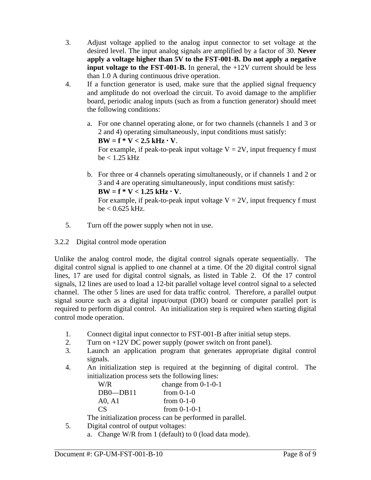- 3. Adjust voltage applied to the analog input connector to set voltage at the desired level. The input analog signals are amplified by a factor of 30. **Never apply a voltage higher than 5V to the FST-001-B. Do not apply a negative input voltage to the FST-001-B.** In general, the +12V current should be less than 1.0 A during continuous drive operation.
- 4. If a function generator is used, make sure that the applied signal frequency and amplitude do not overload the circuit. To avoid damage to the amplifier board, periodic analog inputs (such as from a function generator) should meet the following conditions:
	- a. For one channel operating alone, or for two channels (channels 1 and 3 or 2 and 4) operating simultaneously, input conditions must satisfy:  $BW = f * V < 2.5 kHz \cdot V$ . For example, if peak-to-peak input voltage  $V = 2V$ , input frequency f must  $be < 1.25$  kHz
	- b. For three or 4 channels operating simultaneously, or if channels 1 and 2 or 3 and 4 are operating simultaneously, input conditions must satisfy:  $BW = f * V < 1.25 kHz \cdot V$ . For example, if peak-to-peak input voltage  $V = 2V$ , input frequency f must  $be < 0.625$  kHz.
- 5. Turn off the power supply when not in use.
- 3.2.2 Digital control mode operation

Unlike the analog control mode, the digital control signals operate sequentially. The digital control signal is applied to one channel at a time. Of the 20 digital control signal lines, 17 are used for digital control signals, as listed in Table 2. Of the 17 control signals, 12 lines are used to load a 12-bit parallel voltage level control signal to a selected channel. The other 5 lines are used for data traffic control. Therefore, a parallel output signal source such as a digital input/output (DIO) board or computer parallel port is required to perform digital control. An initialization step is required when starting digital control mode operation.

- 1. Connect digital input connector to FST-001-B after initial setup steps.
- 2. Turn on +12V DC power supply (power switch on front panel).
- 3. Launch an application program that generates appropriate digital control signals.
- 4. An initialization step is required at the beginning of digital control. The initialization process sets the following lines:

| W/R            | change from $0-1-0-1$ |
|----------------|-----------------------|
| $DB0$ — $DB11$ | from $0-1-0$          |
| A0, A1         | from $0-1-0$          |
| CS.            | from $0-1-0-1$        |

The initialization process can be performed in parallel.

- 5. Digital control of output voltages:
	- a. Change W/R from 1 (default) to 0 (load data mode).